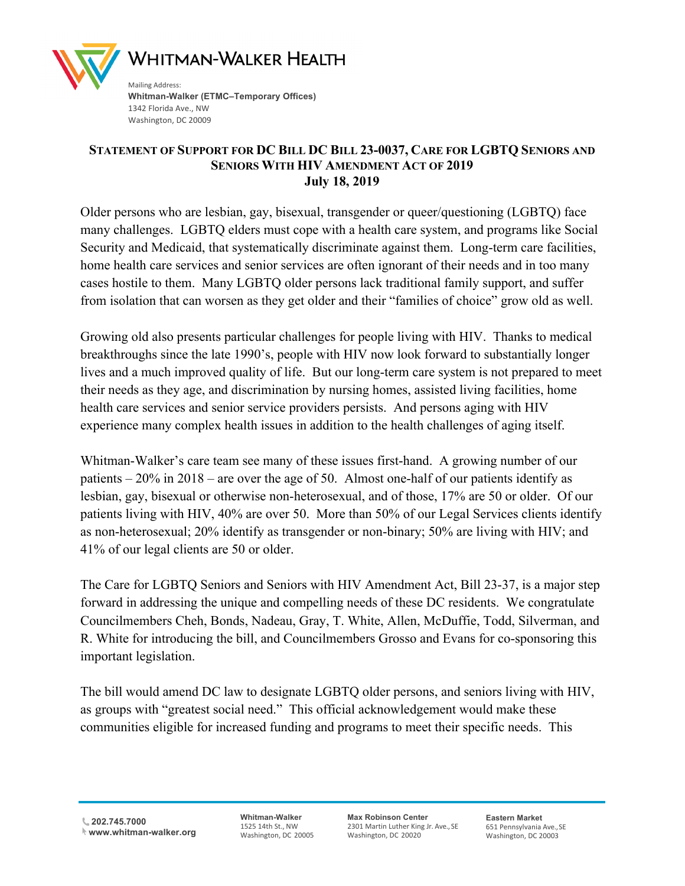

Washington, DC 20009

## **STATEMENT OF SUPPORT FOR DC BILL DC BILL 23-0037, CARE FOR LGBTQ SENIORS AND SENIORS WITH HIV AMENDMENT ACT OF 2019 July 18, 2019**

Older persons who are lesbian, gay, bisexual, transgender or queer/questioning (LGBTQ) face many challenges. LGBTQ elders must cope with a health care system, and programs like Social Security and Medicaid, that systematically discriminate against them. Long-term care facilities, home health care services and senior services are often ignorant of their needs and in too many cases hostile to them. Many LGBTQ older persons lack traditional family support, and suffer from isolation that can worsen as they get older and their "families of choice" grow old as well.

Growing old also presents particular challenges for people living with HIV. Thanks to medical breakthroughs since the late 1990's, people with HIV now look forward to substantially longer lives and a much improved quality of life. But our long-term care system is not prepared to meet their needs as they age, and discrimination by nursing homes, assisted living facilities, home health care services and senior service providers persists. And persons aging with HIV experience many complex health issues in addition to the health challenges of aging itself.

Whitman-Walker's care team see many of these issues first-hand. A growing number of our patients – 20% in 2018 – are over the age of 50. Almost one-half of our patients identify as lesbian, gay, bisexual or otherwise non-heterosexual, and of those, 17% are 50 or older. Of our patients living with HIV, 40% are over 50. More than 50% of our Legal Services clients identify as non-heterosexual; 20% identify as transgender or non-binary; 50% are living with HIV; and 41% of our legal clients are 50 or older.

The Care for LGBTQ Seniors and Seniors with HIV Amendment Act, Bill 23-37, is a major step forward in addressing the unique and compelling needs of these DC residents. We congratulate Councilmembers Cheh, Bonds, Nadeau, Gray, T. White, Allen, McDuffie, Todd, Silverman, and R. White for introducing the bill, and Councilmembers Grosso and Evans for co-sponsoring this important legislation.

The bill would amend DC law to designate LGBTQ older persons, and seniors living with HIV, as groups with "greatest social need." This official acknowledgement would make these communities eligible for increased funding and programs to meet their specific needs. This

**202.745.7000 www.whitman-walker.org** **Whitman-Walker** 1525 14th St., NW Washington, DC 20005 **Max Robinson Center** 2301 Martin Luther King Jr. Ave., SE Washington, DC 20020

**Eastern Market** 651 Pennsylvania Ave.,SE Washington, DC 20003